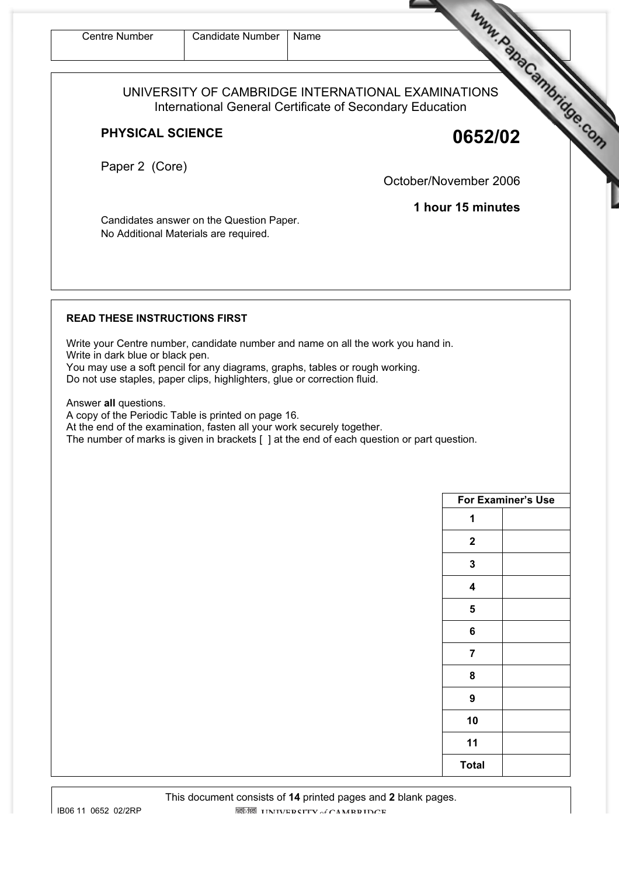| Centre Number           | Candidate Number                                                                  | Name                                                                                                           |
|-------------------------|-----------------------------------------------------------------------------------|----------------------------------------------------------------------------------------------------------------|
|                         |                                                                                   | UNIVERSITY OF CAMBRIDGE INTERNATIONAL EXAMINATIONS<br>International General Certificate of Secondary Education |
| <b>PHYSICAL SCIENCE</b> |                                                                                   | 0652/02                                                                                                        |
| Paper 2 (Core)          |                                                                                   | October/November 2006                                                                                          |
|                         | Candidates answer on the Question Paper.<br>No Additional Materials are required. | 1 hour 15 minutes                                                                                              |
|                         |                                                                                   |                                                                                                                |

## READ THESE INSTRUCTIONS FIRST

 Write your Centre number, candidate number and name on all the work you hand in. Write in dark blue or black pen. You may use a soft pencil for any diagrams, graphs, tables or rough working.

Do not use staples, paper clips, highlighters, glue or correction fluid.

Answer all questions.

A copy of the Periodic Table is printed on page 16.

At the end of the examination, fasten all your work securely together.

The number of marks is given in brackets [ ] at the end of each question or part question.

|              | For Examiner's Use |
|--------------|--------------------|
| 1            |                    |
| 2            |                    |
| 3            |                    |
| 4            |                    |
| 5            |                    |
| 6            |                    |
| 7            |                    |
| 8            |                    |
| 9            |                    |
| 10           |                    |
| 11           |                    |
| <b>Total</b> |                    |
|              |                    |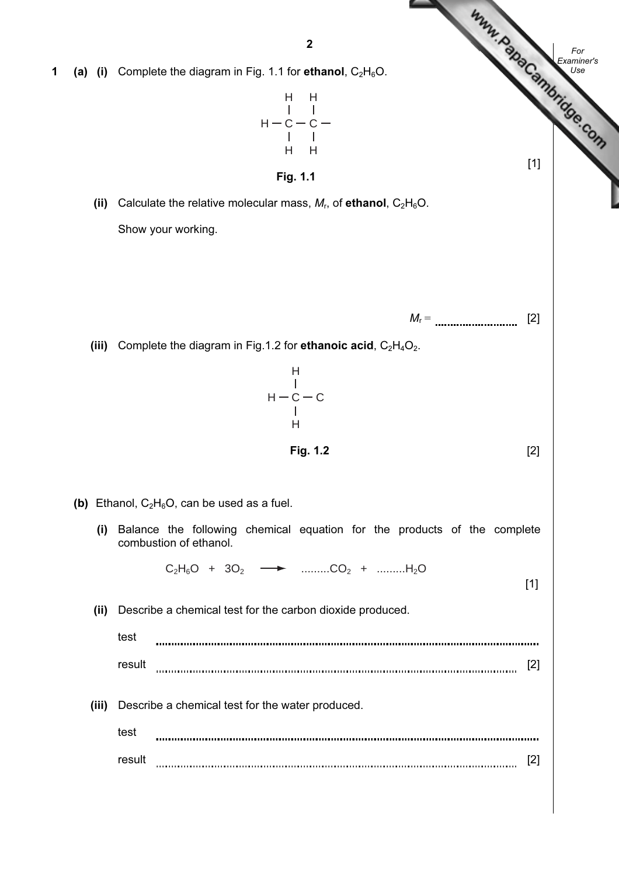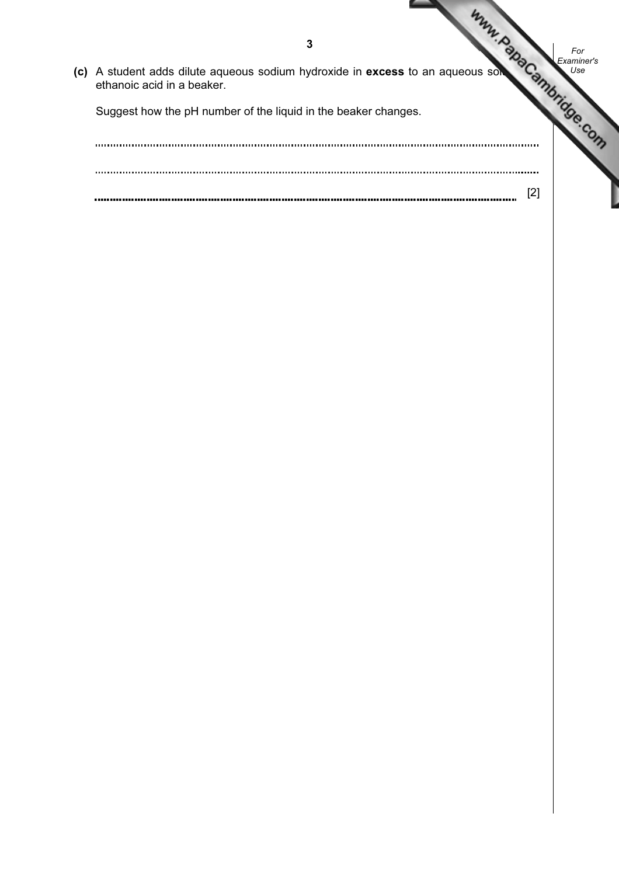| 3                                                                                                            | For               |
|--------------------------------------------------------------------------------------------------------------|-------------------|
| (c) A student adds dilute aqueous sodium hydroxide in excess to an aqueous son<br>ethanoic acid in a beaker. | Examiner's<br>Use |
| Suggest how the pH number of the liquid in the beaker changes.                                               |                   |
|                                                                                                              |                   |
|                                                                                                              | [2]               |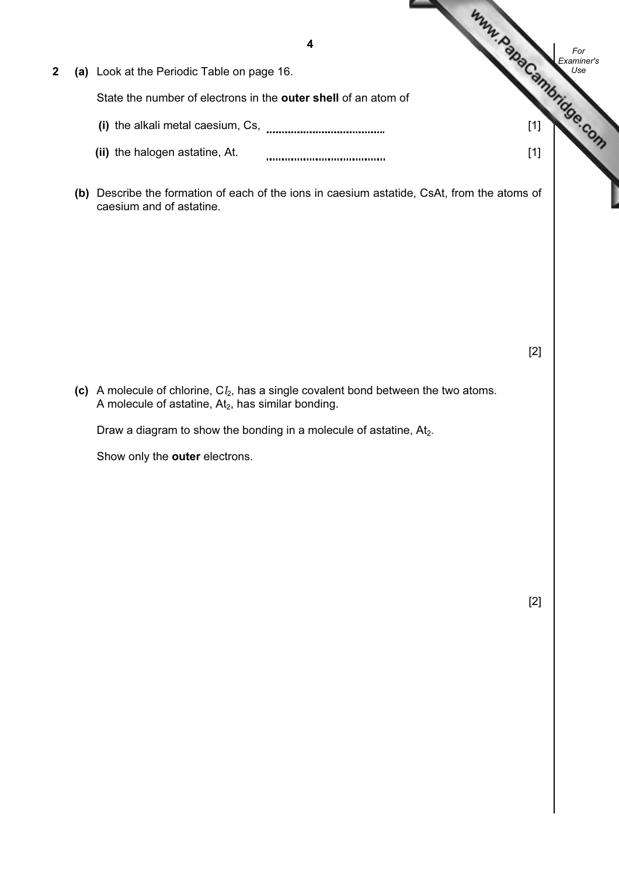4 For Examiner's 2 (a) Look at the Periodic Table on page 16. State the number of electrons in the **outer shell** of an atom of (i) the alkali metal caesium, Cs, [1] (ii) the halogen astatine, At.  $\begin{bmatrix} 1 & 1 \\ 1 & 1 \end{bmatrix}$  (b) Describe the formation of each of the ions in caesium astatid[e, CsAt, from the atoms of](http://www.studentbounty.com/)  caesium and of astatine.

- [2]
- (c) A molecule of chlorine, C*l*2, has a single covalent bond between the two atoms. A molecule of astatine,  $At<sub>2</sub>$ , has similar bonding.

Draw a diagram to show the bonding in a molecule of astatine,  $At<sub>2</sub>$ .

Show only the outer electrons.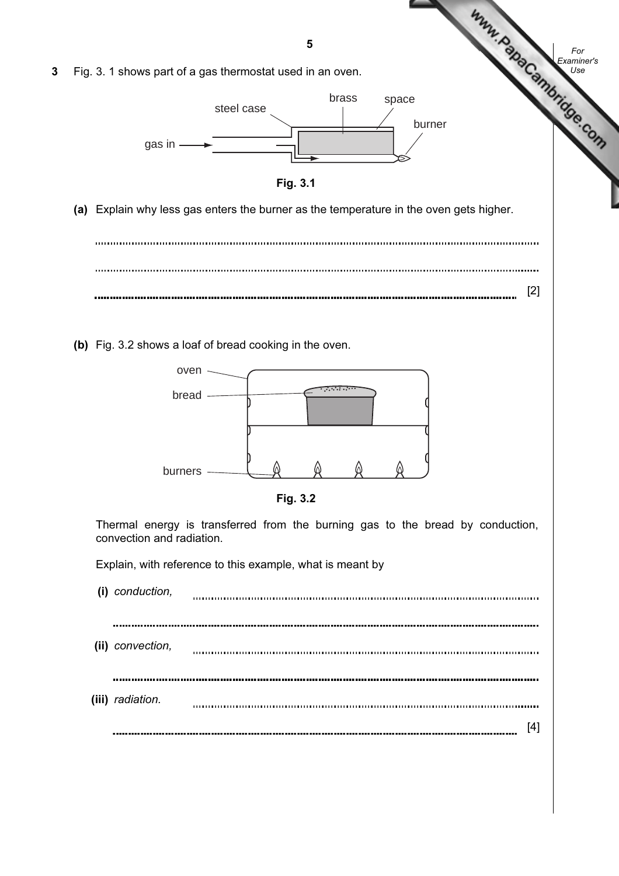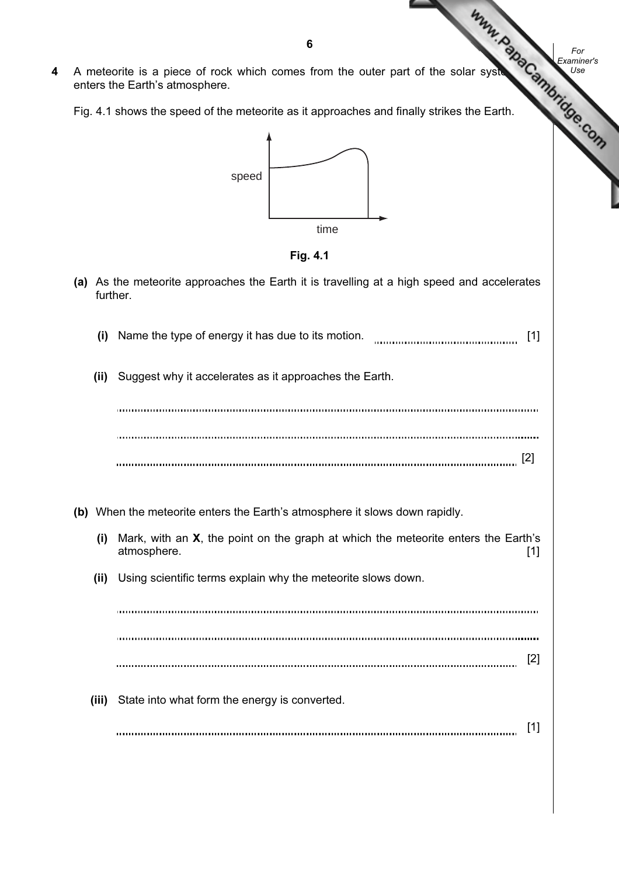For Examiner's

4 A meteorite is a piece of rock which comes from the outer part of the solar system enters the Earth's atmosphere.

Fig. 4.1 shows the speed of the meteorite as it approaches and finally strikes the Earth.





- (a) As the meteorite approaches the Earth it is travelling at a high speed and accelerates further.
	- (i) Name the type of energy it has due to its motion. [1]
	- (ii) Suggest why it accelerates as it approaches the Earth.

[2]

- (b) When the meteorite enters the Earth's atmosphere it slows down rapidly.
	- (i) Mark, with an  $X$ , the point on the graph at which the meteorite enters the Earth's atmosphere. atmosphere.
	- (ii) Using scientific terms explain why the meteorite slows down.

[2] 

(iii) State into what form the energy is converted.

[1]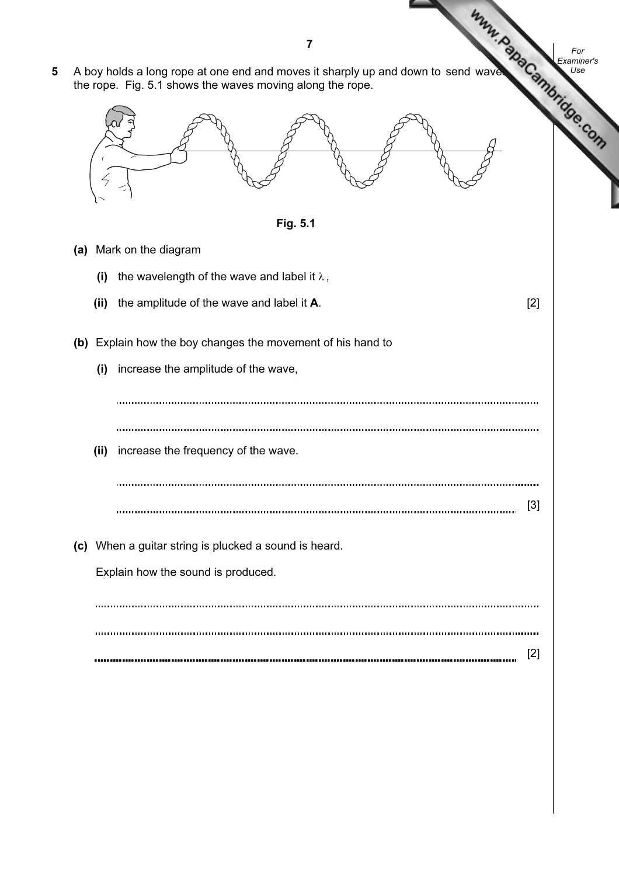For Examiner's 5 A boy holds a long rope at one end and moves it sharply up and down to send wave the rope. Fig. 5.1 shows the waves moving along the rope. Fig. 5.1 (a) Mark on the diagram (i) the wavelength of the wave and label it  $\lambda$ , (ii) the amplitude of the wave and label it **A**. [2] (b) Explain how the boy changes the movement of his hand to (i) increase the amplitude of the wave, (ii) increase the frequency of the wave. [3] (c) When a guitar string is plucked a sound is heard. Explain how the sound is produced. [2]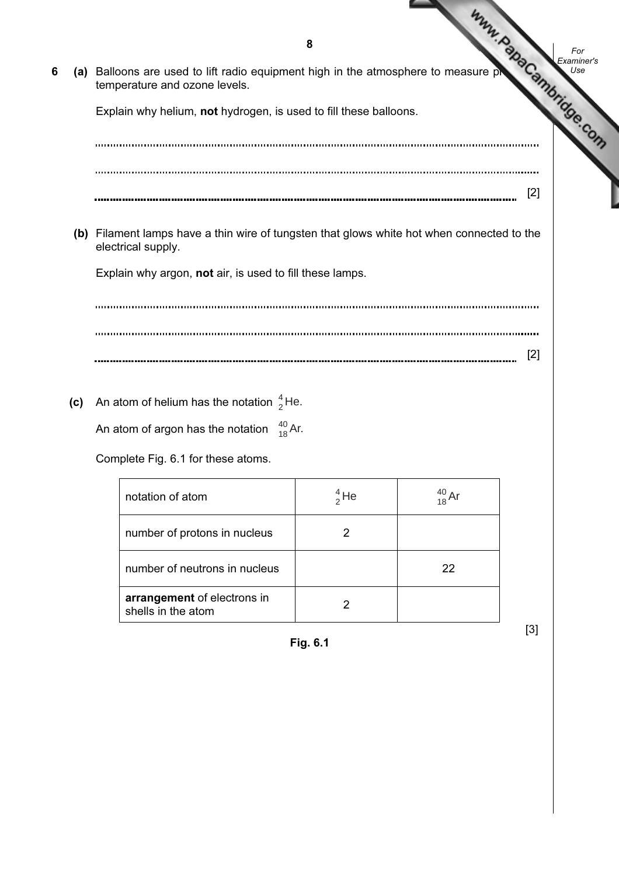- For Examiner's 6 (a) Balloons are used to lift radio equipment high in the atmosphere to measure pressure temperature and ozone levels. Explain why helium, not hydrogen, is used to fill these balloons. [2] (b) Filament lamps have a thin wire of tungsten that glows white hot when connected to the electrical supply. Explain why argon, not air, is used to fill these lamps. [2] (c) An atom of helium has the notation  $\frac{4}{2}$ He. An atom of argon has the notation  $^{40}_{18}$ Ar. Complete Fig. 6.1 for these atoms. notation of atom  $\begin{array}{ccc} & & & \\ & & & \\ & & & \\ & & & \\ & & & & \\ \end{array}$  He  $^{4}_{2}$ He  $^{40}_{18}$ Ar number of protons in nucleus | 2 number of neutrons in nucleus 22
	- Fig. 6.1

[3]

arrangement of electrons in

arrangement of electrons in  $\vert$  2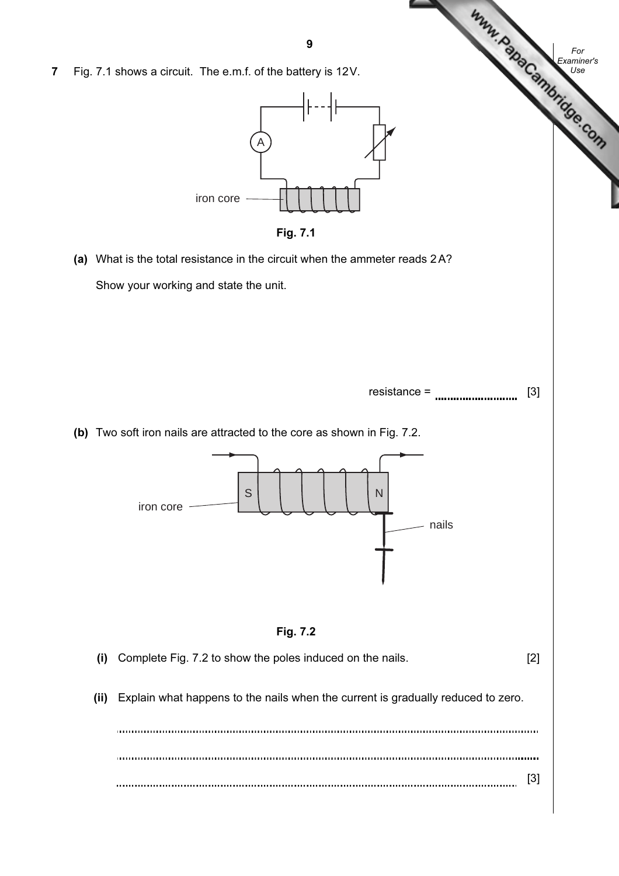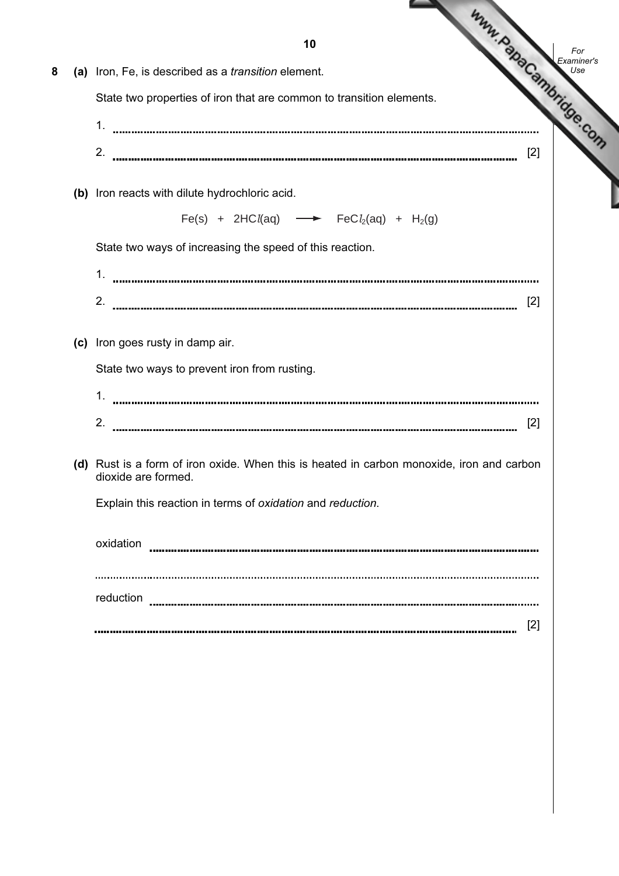|   | Www.papaCambridge.com                                                                                            |  |
|---|------------------------------------------------------------------------------------------------------------------|--|
|   | 10                                                                                                               |  |
| 8 | (a) Iron, Fe, is described as a transition element.                                                              |  |
|   | State two properties of iron that are common to transition elements.                                             |  |
|   | 1.                                                                                                               |  |
|   | 2.<br>$[2]$                                                                                                      |  |
|   |                                                                                                                  |  |
|   | (b) Iron reacts with dilute hydrochloric acid.                                                                   |  |
|   | Fe(s) + 2HCl(aq) $\longrightarrow$ FeCl <sub>2</sub> (aq) + H <sub>2</sub> (g)                                   |  |
|   | State two ways of increasing the speed of this reaction.                                                         |  |
|   | $\mathbf 1$ .                                                                                                    |  |
|   | 2.<br>$[2]$                                                                                                      |  |
|   |                                                                                                                  |  |
|   | (c) Iron goes rusty in damp air.                                                                                 |  |
|   | State two ways to prevent iron from rusting.                                                                     |  |
|   | $\overline{1}$ .                                                                                                 |  |
|   | 2.<br>$\mathsf{Z}$                                                                                               |  |
|   |                                                                                                                  |  |
|   | (d) Rust is a form of iron oxide. When this is heated in carbon monoxide, iron and carbon<br>dioxide are formed. |  |
|   | Explain this reaction in terms of oxidation and reduction.                                                       |  |
|   |                                                                                                                  |  |
|   | oxidation                                                                                                        |  |
|   |                                                                                                                  |  |
|   | reduction                                                                                                        |  |
|   | $[2]$                                                                                                            |  |
|   |                                                                                                                  |  |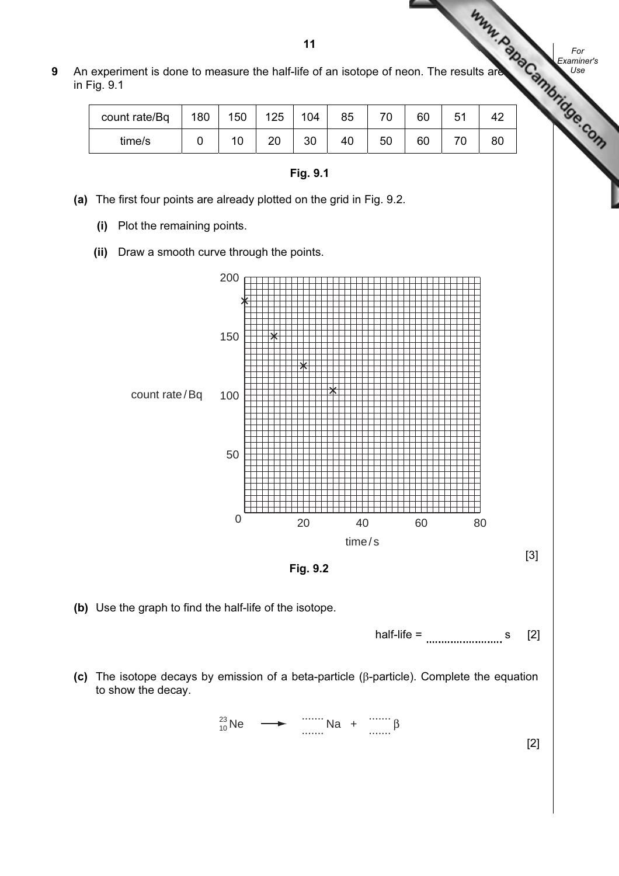9 An experiment is done to measure the half-life of an isotope of neon. The results are in Fig. 9.1

| count rate/Bq | 180 | 150 | 125 | 104 | 85 |    | 60 | 42 |
|---------------|-----|-----|-----|-----|----|----|----|----|
| time/s        |     |     | 20  | 30  | 40 | 50 | 60 | 80 |

| Fig. 9.1 |
|----------|
|          |

- (a) The first four points are already plotted on the grid in Fig. 9.2.
	- (i) Plot the remaining points.
	- (ii) Draw a smooth curve through the points.



Fig. 9.2

(b) Use the graph to find the half-life of the isotope.

half-life =  $\frac{1}{2}$ 

(c) The isotope decays by emission of a beta-particle (β-particle). Complete the equation to show the decay.

> $^{23}_{10}$ Ne  $\longrightarrow$   $\frac{100}{10}$  Na +  $\frac{1000}{100}$   $\beta$  $^{23}_{10}$  Ne

[2]

For Examiner's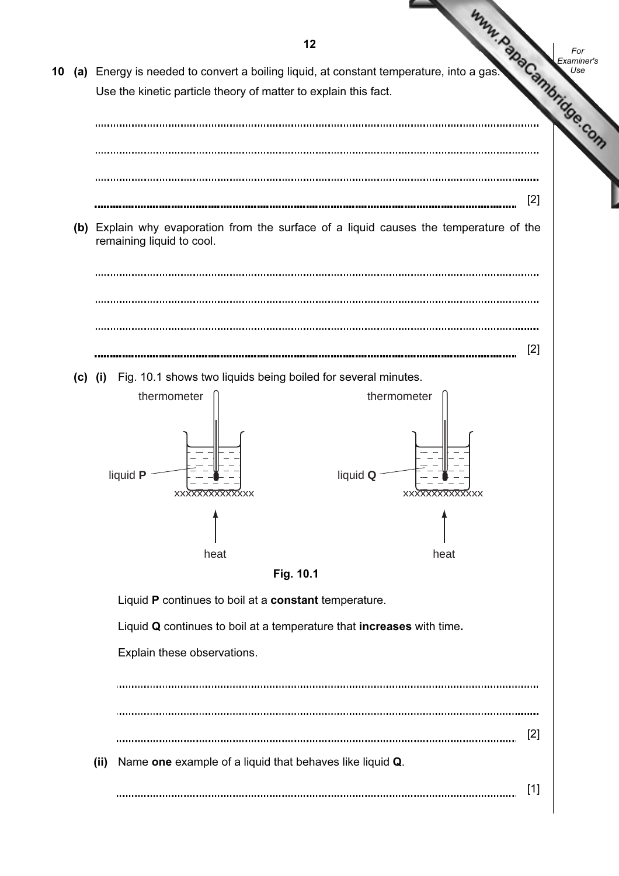$12$ For Examiner's 10 (a) Energy is needed to convert a boiling liquid, at constant temperature, into a gas. Use the kinetic particle theory of matter to explain this fact. [2] (b) Explain why evaporation from the surface of a liquid causes the temperature of the remaining liquid to cool. [2] (c) (i) Fig. 10.1 shows two liquids being boiled for several minutes. thermometer thermometer liquid **P** liquid **Q** xxxxxxxxxxxxxx xxxxxxxxxxxxxx heat heat Fig. 10.1 Liquid P continues to boil at a constant temperature. Liquid Q continues to boil at a temperature that increases with time. Explain these observations. [2] (ii) Name one example of a liquid that behaves like liquid Q. [1]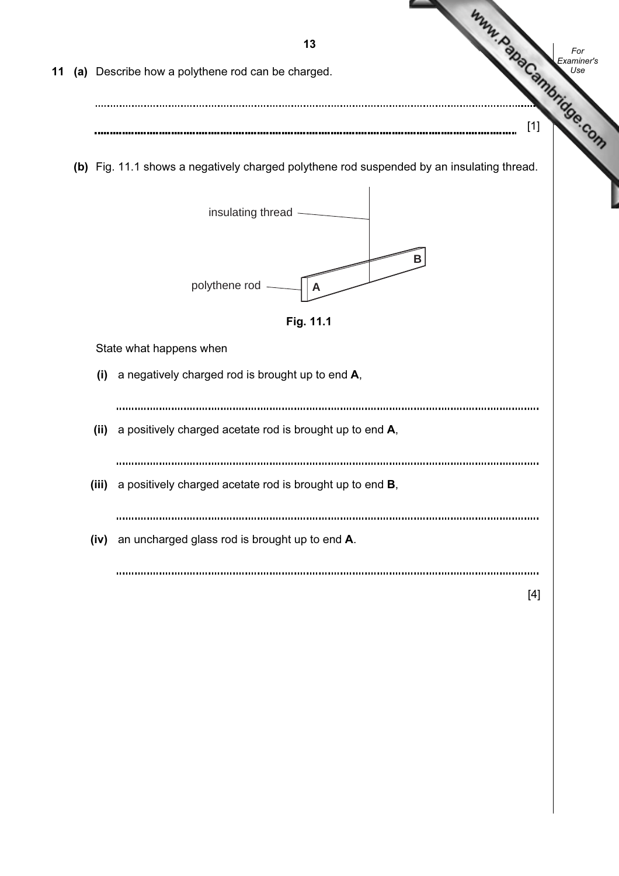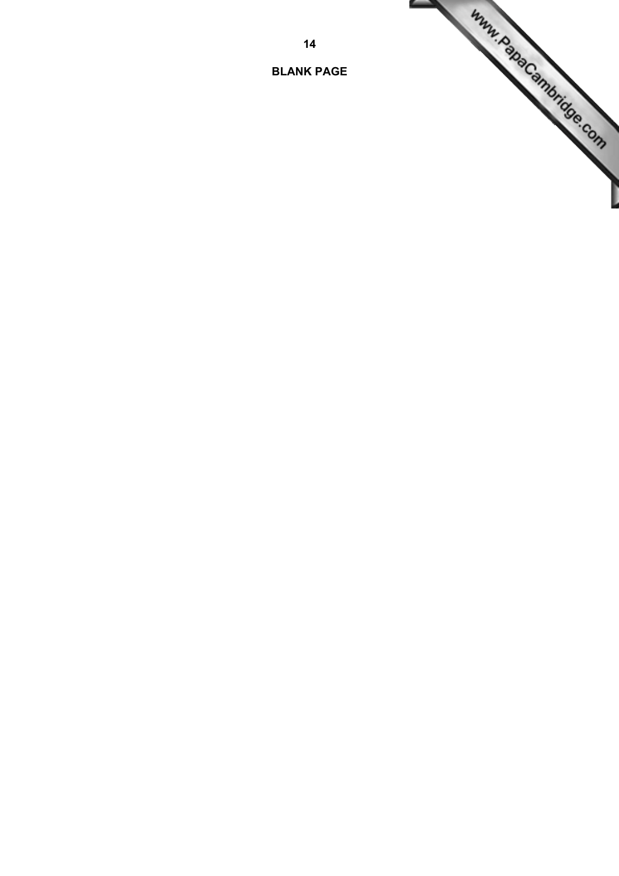

BLANK PAGE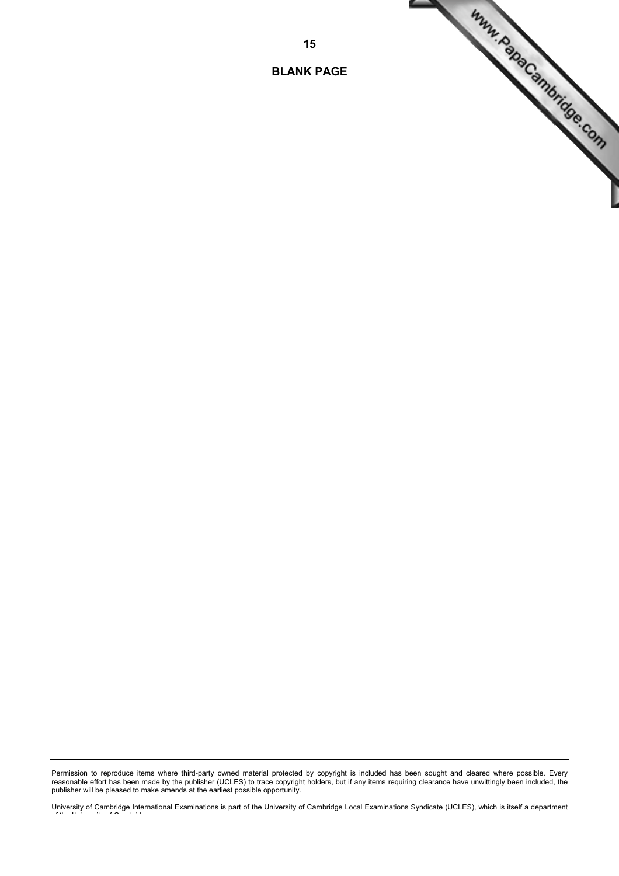

Permission to reproduce items where third-party owned material protected by copyright is included has been sought and cleared where possible. Every reasonable effort has been made by the publisher (UCLES) to trace copyright holders, but if any items requiring clearance have unwittingly been included, the publisher will be pleased to make amends at the earliest possible opportunity.

University of Cambridge International Examinations is part of the University of Cambridge Local Examinations Syndicate (UCLES), which is itself a department

of the University of Cambridge.